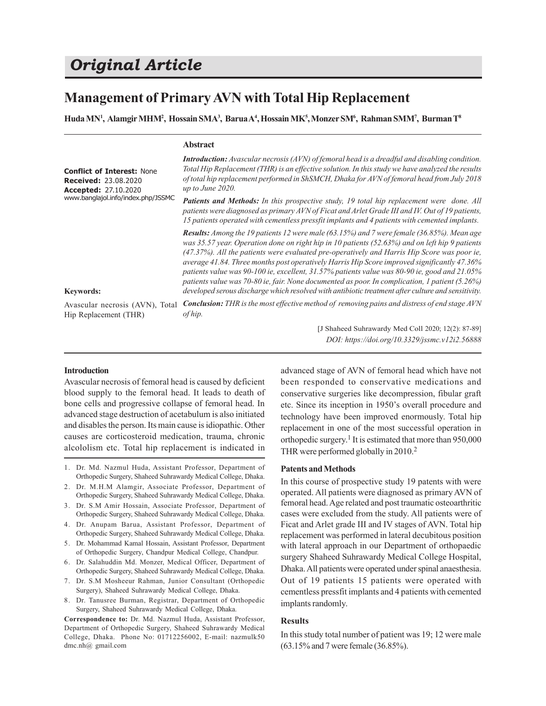# *Original Article*

# **Management of Primary AVN with Total Hip Replacement**

**Abstract**

**Huda MN<sup>1</sup> , Alamgir MHM<sup>2</sup> , Hossain SMA<sup>3</sup> , Barua A<sup>4</sup> , Hossain MK<sup>5</sup> , Monzer SM<sup>6</sup> , Rahman SMM<sup>7</sup> , Burman T 8**

|                                                                                                                                                           | ADSH ACL                                                                                                                                                                                                                                                                                                                                                                                                                                                                                                                                                                                                                                                                                                              |
|-----------------------------------------------------------------------------------------------------------------------------------------------------------|-----------------------------------------------------------------------------------------------------------------------------------------------------------------------------------------------------------------------------------------------------------------------------------------------------------------------------------------------------------------------------------------------------------------------------------------------------------------------------------------------------------------------------------------------------------------------------------------------------------------------------------------------------------------------------------------------------------------------|
| <b>Conflict of Interest: None</b><br><b>Received: 23.08.2020</b><br><b>Accepted: 27.10.2020</b><br>www.banglajol.info/index.php/JSSMC<br><b>Keywords:</b> | <b>Introduction:</b> Avascular necrosis $(AVN)$ of femoral head is a dreadful and disabling condition.<br>Total Hip Replacement (THR) is an effective solution. In this study we have analyzed the results<br>of total hip replacement performed in ShSMCH, Dhaka for AVN of femoral head from July 2018<br>up to June 2020.                                                                                                                                                                                                                                                                                                                                                                                          |
|                                                                                                                                                           | <b>Patients and Methods:</b> In this prospective study, 19 total hip replacement were done. All<br>patients were diagnosed as primary AVN of Ficat and Arlet Grade III and IV. Out of 19 patients,<br>15 patients operated with cementless pressfit implants and 4 patients with cemented implants.                                                                                                                                                                                                                                                                                                                                                                                                                   |
|                                                                                                                                                           | <b>Results:</b> Among the 19 patients 12 were male $(63.15\%)$ and 7 were female $(36.85\%)$ . Mean age<br>was 35.57 year. Operation done on right hip in 10 patients (52.63%) and on left hip 9 patients<br>(47.37%). All the patients were evaluated pre-operatively and Harris Hip Score was poor ie,<br>average 41.84. Three months post operatively Harris Hip Score improved significantly 47.36%<br>patients value was 90-100 ie, excellent, $31.57\%$ patients value was 80-90 ie, good and $21.05\%$<br>patients value was 70-80 ie, fair. None documented as poor. In complication, 1 patient (5.26%)<br>developed serous discharge which resolved with antibiotic treatment after culture and sensitivity. |
| Avascular necrosis (AVN), Total<br>Hip Replacement (THR)                                                                                                  | <b>Conclusion:</b> THR is the most effective method of removing pains and distress of end stage AVN<br>of hip.                                                                                                                                                                                                                                                                                                                                                                                                                                                                                                                                                                                                        |
|                                                                                                                                                           | [J Shaheed Suhrawardy Med Coll 2020; 12(2): 87-89]                                                                                                                                                                                                                                                                                                                                                                                                                                                                                                                                                                                                                                                                    |

# **Introduction**

Avascular necrosis of femoral head is caused by deficient blood supply to the femoral head. It leads to death of bone cells and progressive collapse of femoral head. In advanced stage destruction of acetabulum is also initiated and disables the person. Its main cause is idiopathic. Other causes are corticosteroid medication, trauma, chronic alcololism etc. Total hip replacement is indicated in

- 1. Dr. Md. Nazmul Huda, Assistant Professor, Department of Orthopedic Surgery, Shaheed Suhrawardy Medical College, Dhaka.
- 2. Dr. M.H.M Alamgir, Associate Professor, Department of Orthopedic Surgery, Shaheed Suhrawardy Medical College, Dhaka.
- 3. Dr. S.M Amir Hossain, Associate Professor, Department of Orthopedic Surgery, Shaheed Suhrawardy Medical College, Dhaka.
- 4. Dr. Anupam Barua, Assistant Professor, Department of Orthopedic Surgery, Shaheed Suhrawardy Medical College, Dhaka.
- 5. Dr. Mohammad Kamal Hossain, Assistant Professor, Department of Orthopedic Surgery, Chandpur Medical College, Chandpur.
- 6. Dr. Salahuddin Md. Monzer, Medical Officer, Department of Orthopedic Surgery, Shaheed Suhrawardy Medical College, Dhaka.
- 7. Dr. S.M Mosheeur Rahman, Junior Consultant (Orthopedic Surgery), Shaheed Suhrawardy Medical College, Dhaka.
- 8. Dr. Tanusree Burman, Registrar, Department of Orthopedic Surgery, Shaheed Suhrawardy Medical College, Dhaka.

**Correspondence to:** Dr. Md. Nazmul Huda, Assistant Professor, Department of Orthopedic Surgery, Shaheed Suhrawardy Medical College, Dhaka. Phone No: 01712256002, E-mail: nazmulk50 dmc.nh@ gmail.com

advanced stage of AVN of femoral head which have not been responded to conservative medications and conservative surgeries like decompression, fibular graft etc. Since its inception in 1950's overall procedure and technology have been improved enormously. Total hip replacement in one of the most successful operation in orthopedic surgery.<sup>1</sup> It is estimated that more than 950,000 THR were performed globally in 2010.<sup>2</sup>

*DOI: https://doi.org/10.3329/jssmc.v12i2.56888*

## **Patents and Methods**

In this course of prospective study 19 patents with were operated. All patients were diagnosed as primary AVN of femoral head. Age related and post traumatic osteoarthritic cases were excluded from the study. All patients were of Ficat and Arlet grade III and IV stages of AVN. Total hip replacement was performed in lateral decubitous position with lateral approach in our Department of orthopaedic surgery Shaheed Suhrawardy Medical College Hospital, Dhaka. All patients were operated under spinal anaesthesia. Out of 19 patients 15 patients were operated with cementless pressfit implants and 4 patients with cemented implants randomly.

#### **Results**

In this study total number of patient was 19; 12 were male (63.15% and 7 were female (36.85%).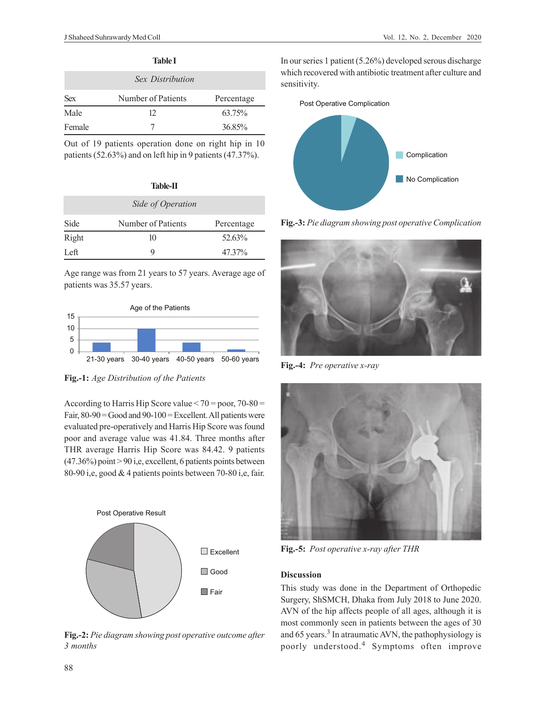|            | <b>Table I</b>     |            |
|------------|--------------------|------------|
|            | Sex Distribution   |            |
| <b>Sex</b> | Number of Patients | Percentage |
| Male       | 12                 | 63.75%     |
| Female     |                    | 36.85%     |

Out of 19 patients operation done on right hip in 10 patients (52.63%) and on left hip in 9 patients (47.37%).

| ٠<br>v |
|--------|
|--------|

| Side of Operation |                    |            |  |  |
|-------------------|--------------------|------------|--|--|
| Side              | Number of Patients | Percentage |  |  |
| Right             | 10                 | 52.63%     |  |  |
| Left.             | Q                  | 47.37%     |  |  |

Age range was from 21 years to 57 years. Average age of patients was 35.57 years.



**Fig.-1:** *Age Distribution of the Patients*

According to Harris Hip Score value  $\leq 70$  = poor, 70-80 = Fair,  $80-90 = Good$  and  $90-100 = Excel$  Excellent. All patients were evaluated pre-operatively and Harris Hip Score was found poor and average value was 41.84. Three months after THR average Harris Hip Score was 84.42. 9 patients  $(47.36\%)$  point  $> 90$  i,e, excellent, 6 patients points between 80-90 i,e, good & 4 patients points between 70-80 i,e, fair.



**Fig.-2:** *Pie diagram showing post operative outcome after 3 months*

In our series 1 patient (5.26%) developed serous discharge which recovered with antibiotic treatment after culture and sensitivity.



**Fig.-3:** *Pie diagram showing post operative Complication*



**Fig.-4:** *Pre operative x-ray*



**Fig.-5:** *Post operative x-ray after THR*

# **Discussion**

This study was done in the Department of Orthopedic Surgery, ShSMCH, Dhaka from July 2018 to June 2020. AVN of the hip affects people of all ages, although it is most commonly seen in patients between the ages of 30 and 65 years.<sup>3</sup> In atraumatic AVN, the pathophysiology is poorly understood.<sup>4</sup> Symptoms often improve